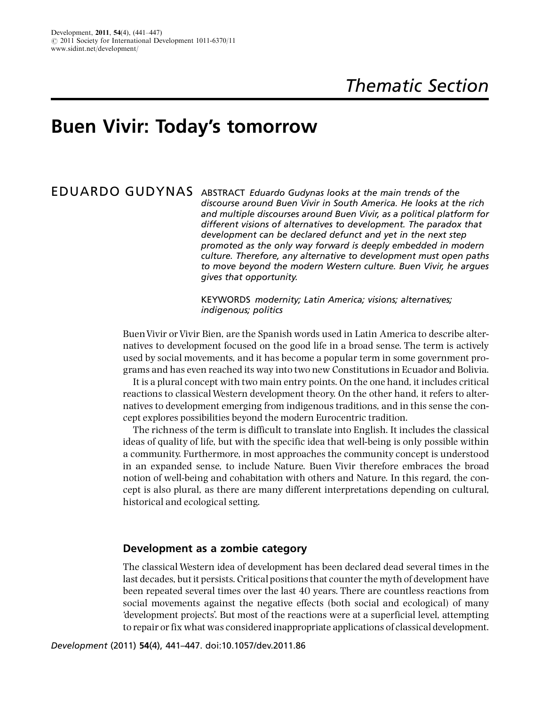# Buen Vivir: Today's tomorrow

EDUARDO GUDYNAS ABSTRACT Eduardo Gudynas looks at the main trends of the discourse around Buen Vivir in South America. He looks at the rich and multiple discourses around Buen Vivir, as a political platform for different visions of alternatives to development. The paradox that development can be declared defunct and yet in the next step promoted as the only way forward is deeply embedded in modern culture. Therefore, any alternative to development must open paths to move beyond the modern Western culture. Buen Vivir, he argues gives that opportunity.

> KEYWORDS modernity; Latin America; visions; alternatives; indigenous; politics

BuenVivir or Vivir Bien, are the Spanish words used in Latin America to describe alternatives to development focused on the good life in a broad sense. The term is actively used by social movements, and it has become a popular term in some government programs and has even reached its way into two new Constitutions in Ecuador and Bolivia.

It is a plural concept with two main entry points. On the one hand, it includes critical reactions to classical Western development theory. On the other hand, it refers to alternatives to development emerging from indigenous traditions, and in this sense the concept explores possibilities beyond the modern Eurocentric tradition.

The richness of the term is difficult to translate into English. It includes the classical ideas of quality of life, but with the specific idea that well-being is only possible within a community. Furthermore, in most approaches the community concept is understood in an expanded sense, to include Nature. Buen Vivir therefore embraces the broad notion of well-being and cohabitation with others and Nature. In this regard, the concept is also plural, as there are many different interpretations depending on cultural, historical and ecological setting.

#### Development as a zombie category

The classical Western idea of development has been declared dead several times in the last decades, but it persists. Critical positions that counter the myth of development have been repeated several times over the last 40 years. There are countless reactions from social movements against the negative effects (both social and ecological) of many 'development projects'. But most of the reactions were at a superficial level, attempting to repair or fix what was considered inappropriate applications of classical development.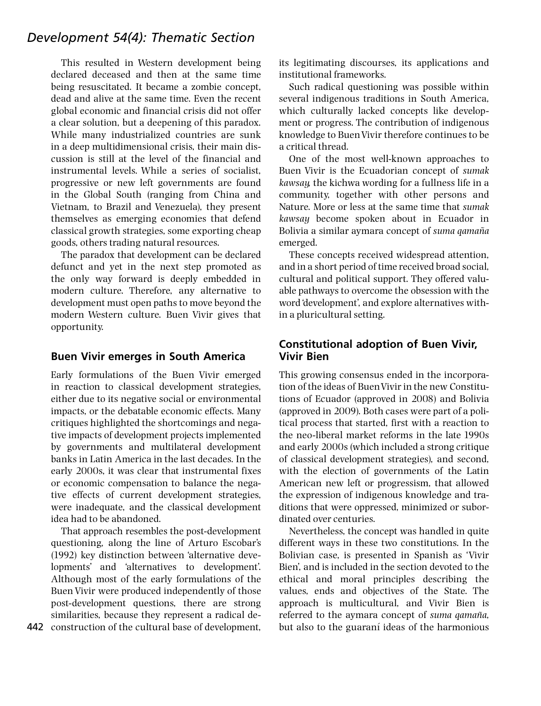# Development 54(4): Thematic Section

This resulted in Western development being declared deceased and then at the same time being resuscitated. It became a zombie concept, dead and alive at the same time. Even the recent global economic and financial crisis did not offer a clear solution, but a deepening of this paradox. While many industrialized countries are sunk in a deep multidimensional crisis, their main discussion is still at the level of the financial and instrumental levels. While a series of socialist, progressive or new left governments are found in the Global South (ranging from China and Vietnam, to Brazil and Venezuela), they present themselves as emerging economies that defend classical growth strategies, some exporting cheap goods, others trading natural resources.

The paradox that development can be declared defunct and yet in the next step promoted as the only way forward is deeply embedded in modern culture. Therefore, any alternative to development must open paths to move beyond the modern Western culture. Buen Vivir gives that opportunity.

# Buen Vivir emerges in South America

Early formulations of the Buen Vivir emerged in reaction to classical development strategies, either due to its negative social or environmental impacts, or the debatable economic effects. Many critiques highlighted the shortcomings and negative impacts of development projects implemented by governments and multilateral development banks in Latin America in the last decades. In the early 2000s, it was clear that instrumental fixes or economic compensation to balance the negative effects of current development strategies, were inadequate, and the classical development idea had to be abandoned.

That approach resembles the post-development questioning, along the line of Arturo Escobar's (1992) key distinction between 'alternative developments' and 'alternatives to development'. Although most of the early formulations of the Buen Vivir were produced independently of those post-development questions, there are strong similarities, because they represent a radical de-

442 construction of the cultural base of development,

its legitimating discourses, its applications and institutional frameworks.

Such radical questioning was possible within several indigenous traditions in South America, which culturally lacked concepts like development or progress. The contribution of indigenous knowledge to BuenVivir therefore continues to be a critical thread.

One of the most well-known approaches to Buen Vivir is the Ecuadorian concept of sumak kawsay, the kichwa wording for a fullness life in a community, together with other persons and Nature. More or less at the same time that sumak kawsay become spoken about in Ecuador in Bolivia a similar aymara concept of s*uma qamaña* emerged.

These concepts received widespread attention, and in a short period of time received broad social, cultural and political support. They offered valuable pathways to overcome the obsession with the word'development', and explore alternatives within a pluricultural setting.

# Constitutional adoption of Buen Vivir, Vivir Bien

This growing consensus ended in the incorporation of the ideas of BuenVivir in the new Constitutions of Ecuador (approved in 2008) and Bolivia (approved in 2009). Both cases were part of a political process that started, first with a reaction to the neo-liberal market reforms in the late 1990s and early 2000s (which included a strong critique of classical development strategies), and second, with the election of governments of the Latin American new left or progressism, that allowed the expression of indigenous knowledge and traditions that were oppressed, minimized or subordinated over centuries.

Nevertheless, the concept was handled in quite different ways in these two constitutions. In the Bolivian case, is presented in Spanish as 'Vivir Bien', and is included in the section devoted to the ethical and moral principles describing the values, ends and objectives of the State. The approach is multicultural, and Vivir Bien is referred to the aymara concept of suma qamaña, but also to the guaraní ideas of the harmonious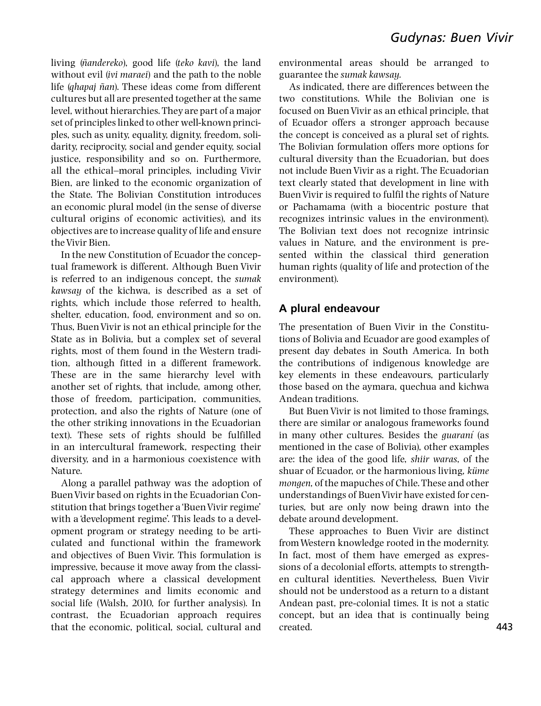living (ñandereko), good life (teko kavi), the land without evil (ivi maraei) and the path to the noble life (ghapaj ñan). These ideas come from different cultures but all are presented together at the same level, without hierarchies. They are part of a major set of principles linked to other well-known principles, such as unity, equality, dignity, freedom, solidarity, reciprocity, social and gender equity, social justice, responsibility and so on. Furthermore, all the ethical^moral principles, including Vivir Bien, are linked to the economic organization of the State. The Bolivian Constitution introduces an economic plural model (in the sense of diverse cultural origins of economic activities), and its objectives are to increase quality of life and ensure theVivir Bien.

In the new Constitution of Ecuador the conceptual framework is different. Although Buen Vivir is referred to an indigenous concept, the sumak kawsay of the kichwa, is described as a set of rights, which include those referred to health, shelter, education, food, environment and so on. Thus, BuenVivir is not an ethical principle for the State as in Bolivia, but a complex set of several rights, most of them found in the Western tradition, although fitted in a different framework. These are in the same hierarchy level with another set of rights, that include, among other, those of freedom, participation, communities, protection, and also the rights of Nature (one of the other striking innovations in the Ecuadorian text). These sets of rights should be fulfilled in an intercultural framework, respecting their diversity, and in a harmonious coexistence with Nature.

Along a parallel pathway was the adoption of BuenVivir based on rights in the Ecuadorian Constitution that brings together a'BuenVivir regime' with a 'development regime'. This leads to a development program or strategy needing to be articulated and functional within the framework and objectives of Buen Vivir. This formulation is impressive, because it move away from the classical approach where a classical development strategy determines and limits economic and social life (Walsh, 2010, for further analysis). In contrast, the Ecuadorian approach requires that the economic, political, social, cultural and

environmental areas should be arranged to guarantee the sumak kawsay.

As indicated, there are differences between the two constitutions. While the Bolivian one is focused on BuenVivir as an ethical principle, that of Ecuador offers a stronger approach because the concept is conceived as a plural set of rights. The Bolivian formulation offers more options for cultural diversity than the Ecuadorian, but does not include Buen Vivir as a right. The Ecuadorian text clearly stated that development in line with BuenVivir is required to fulfil the rights of Nature or Pachamama (with a biocentric posture that recognizes intrinsic values in the environment). The Bolivian text does not recognize intrinsic values in Nature, and the environment is presented within the classical third generation human rights (quality of life and protection of the environment).

# A plural endeavour

The presentation of Buen Vivir in the Constitutions of Bolivia and Ecuador are good examples of present day debates in South America. In both the contributions of indigenous knowledge are key elements in these endeavours, particularly those based on the aymara, quechua and kichwa Andean traditions.

But Buen Vivir is not limited to those framings, there are similar or analogous frameworks found in many other cultures. Besides the *quarani* (as mentioned in the case of Bolivia), other examples are: the idea of the good life, shiir waras, of the shuar of Ecuador, or the harmonious living, küme mongen, of the mapuches of Chile. These and other understandings of BuenVivir have existed for centuries, but are only now being drawn into the debate around development.

These approaches to Buen Vivir are distinct fromWestern knowledge rooted in the modernity. In fact, most of them have emerged as expressions of a decolonial efforts, attempts to strengthen cultural identities. Nevertheless, Buen Vivir should not be understood as a return to a distant Andean past, pre-colonial times. It is not a static concept, but an idea that is continually being created.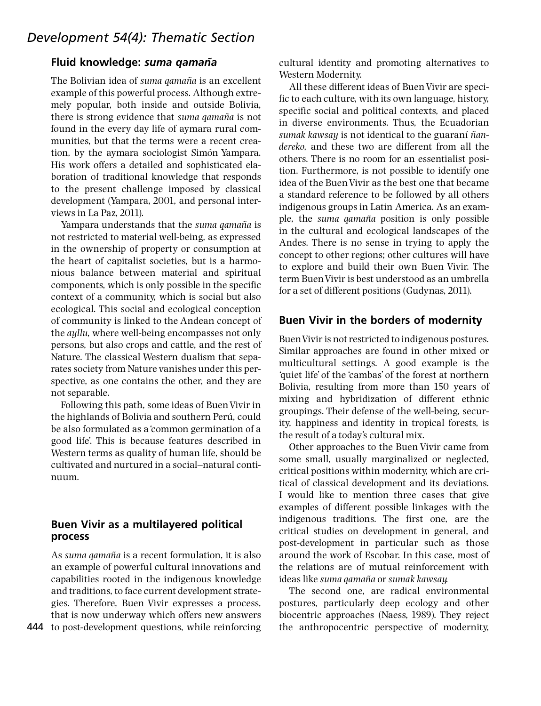#### Fluid knowledge: suma gamaña

The Bolivian idea of *suma qamaña* is an excellent example of this powerful process. Although extremely popular, both inside and outside Bolivia, there is strong evidence that suma qamaña is not found in the every day life of aymara rural communities, but that the terms were a recent creation, by the aymara sociologist Simón Yampara. His work offers a detailed and sophisticated elaboration of traditional knowledge that responds to the present challenge imposed by classical development (Yampara, 2001, and personal interviews in La Paz, 2011).

Yampara understands that the suma qamaña is not restricted to material well-being, as expressed in the ownership of property or consumption at the heart of capitalist societies, but is a harmonious balance between material and spiritual components, which is only possible in the specific context of a community, which is social but also ecological. This social and ecological conception of community is linked to the Andean concept of the ayllu, where well-being encompasses not only persons, but also crops and cattle, and the rest of Nature. The classical Western dualism that separates society from Nature vanishes under this perspective, as one contains the other, and they are not separable.

Following this path, some ideas of BuenVivir in the highlands of Bolivia and southern Perú, could be also formulated as a'common germination of a good life'. This is because features described in Western terms as quality of human life, should be cultivated and nurtured in a social^natural continuum.

# Buen Vivir as a multilayered political process

As suma qamaña is a recent formulation, it is also an example of powerful cultural innovations and capabilities rooted in the indigenous knowledge and traditions, to face current development strategies. Therefore, Buen Vivir expresses a process, that is now underway which offers new answers 444 to post-development questions, while reinforcing

cultural identity and promoting alternatives to Western Modernity.

All these different ideas of BuenVivir are specific to each culture, with its own language, history, specific social and political contexts, and placed in diverse environments. Thus, the Ecuadorian sumak kawsay is not identical to the guaraní ñandereko, and these two are different from all the others. There is no room for an essentialist position. Furthermore, is not possible to identify one idea of the Buen Vivir as the best one that became a standard reference to be followed by all others indigenous groups in Latin America. As an example, the suma qamaña position is only possible in the cultural and ecological landscapes of the Andes. There is no sense in trying to apply the concept to other regions; other cultures will have to explore and build their own Buen Vivir. The term BuenVivir is best understood as an umbrella for a set of different positions (Gudynas, 2011).

#### Buen Vivir in the borders of modernity

BuenVivir is not restricted to indigenous postures. Similar approaches are found in other mixed or multicultural settings. A good example is the 'quiet life' of the 'cambas' of the forest at northern Bolivia, resulting from more than 150 years of mixing and hybridization of different ethnic groupings. Their defense of the well-being, security, happiness and identity in tropical forests, is the result of a today's cultural mix.

Other approaches to the Buen Vivir came from some small, usually marginalized or neglected, critical positions within modernity, which are critical of classical development and its deviations. I would like to mention three cases that give examples of different possible linkages with the indigenous traditions. The first one, are the critical studies on development in general, and post-development in particular such as those around the work of Escobar. In this case, most of the relations are of mutual reinforcement with ideas like *suma qamaña* or *sumak kawsay*.

The second one, are radical environmental postures, particularly deep ecology and other biocentric approaches (Naess, 1989). They reject the anthropocentric perspective of modernity,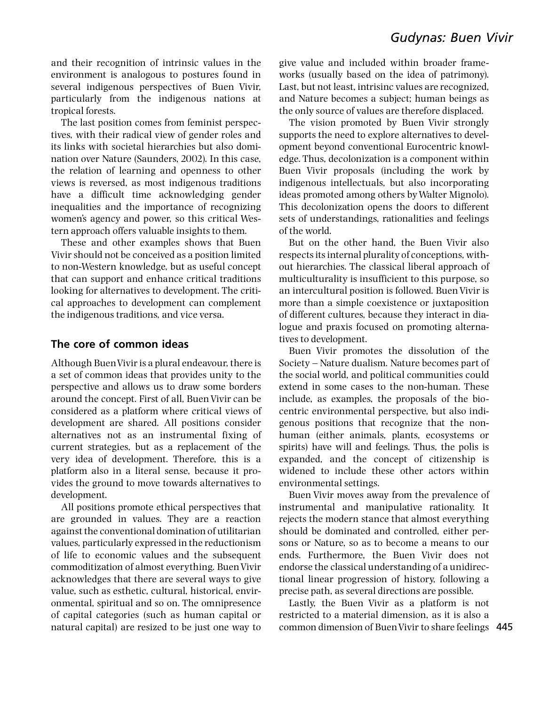and their recognition of intrinsic values in the environment is analogous to postures found in several indigenous perspectives of Buen Vivir, particularly from the indigenous nations at tropical forests.

The last position comes from feminist perspectives, with their radical view of gender roles and its links with societal hierarchies but also domination over Nature (Saunders, 2002). In this case, the relation of learning and openness to other views is reversed, as most indigenous traditions have a difficult time acknowledging gender inequalities and the importance of recognizing women's agency and power, so this critical Western approach offers valuable insights to them.

These and other examples shows that Buen Vivir should not be conceived as a position limited to non-Western knowledge, but as useful concept that can support and enhance critical traditions looking for alternatives to development. The critical approaches to development can complement the indigenous traditions, and vice versa.

#### The core of common ideas

Although BuenVivir is a plural endeavour, there is a set of common ideas that provides unity to the perspective and allows us to draw some borders around the concept. First of all, BuenVivir can be considered as a platform where critical views of development are shared. All positions consider alternatives not as an instrumental fixing of current strategies, but as a replacement of the very idea of development. Therefore, this is a platform also in a literal sense, because it provides the ground to move towards alternatives to development.

All positions promote ethical perspectives that are grounded in values. They are a reaction against the conventional domination of utilitarian values, particularly expressed in the reductionism of life to economic values and the subsequent commoditization of almost everything. BuenVivir acknowledges that there are several ways to give value, such as esthetic, cultural, historical, environmental, spiritual and so on. The omnipresence of capital categories (such as human capital or natural capital) are resized to be just one way to give value and included within broader frameworks (usually based on the idea of patrimony). Last, but not least, intrisinc values are recognized, and Nature becomes a subject; human beings as the only source of values are therefore displaced.

The vision promoted by Buen Vivir strongly supports the need to explore alternatives to development beyond conventional Eurocentric knowledge. Thus, decolonization is a component within Buen Vivir proposals (including the work by indigenous intellectuals, but also incorporating ideas promoted among others byWalter Mignolo). This decolonization opens the doors to different sets of understandings, rationalities and feelings of the world.

But on the other hand, the Buen Vivir also respects its internal plurality of conceptions, without hierarchies. The classical liberal approach of multiculturality is insufficient to this purpose, so an intercultural position is followed. BuenVivir is more than a simple coexistence or juxtaposition of different cultures, because they interact in dialogue and praxis focused on promoting alternatives to development.

Buen Vivir promotes the dissolution of the Society ^ Nature dualism. Nature becomes part of the social world, and political communities could extend in some cases to the non-human. These include, as examples, the proposals of the biocentric environmental perspective, but also indigenous positions that recognize that the nonhuman (either animals, plants, ecosystems or spirits) have will and feelings. Thus, the polis is expanded, and the concept of citizenship is widened to include these other actors within environmental settings.

Buen Vivir moves away from the prevalence of instrumental and manipulative rationality. It rejects the modern stance that almost everything should be dominated and controlled, either persons or Nature, so as to become a means to our ends. Furthermore, the Buen Vivir does not endorse the classical understanding of a unidirectional linear progression of history, following a precise path, as several directions are possible.

Lastly, the Buen Vivir as a platform is not restricted to a material dimension, as it is also a common dimension of BuenVivir to share feelings 445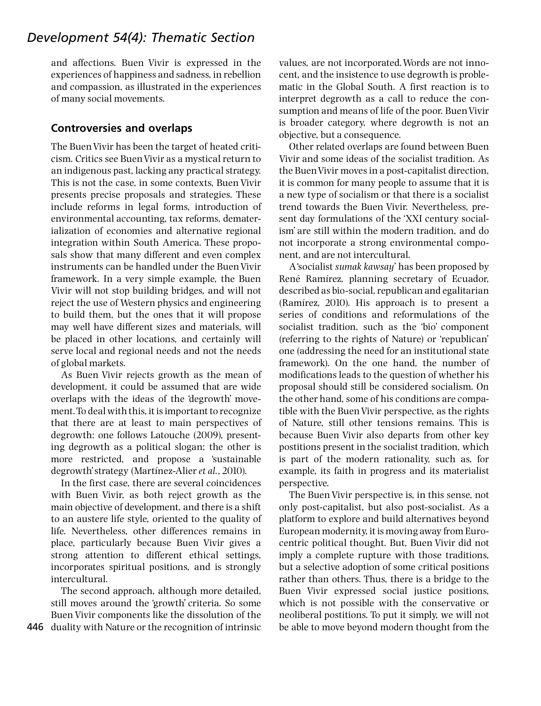# Development 54(4): Thematic Section

and affections. Buen Vivir is expressed in the experiences of happiness and sadness, in rebellion and compassion, as illustrated in the experiences of many social movements.

#### Controversies and overlaps

The Buen Vivir has been the target of heated criticism. Critics see BuenVivir as a mystical return to an indigenous past, lacking any practical strategy. This is not the case, in some contexts, Buen Vivir presents precise proposals and strategies. These include reforms in legal forms, introduction of environmental accounting, tax reforms, dematerialization of economies and alternative regional integration within South America. These proposals show that many different and even complex instruments can be handled under the Buen Vivir framework. In a very simple example, the Buen Vivir will not stop building bridges, and will not reject the use of Western physics and engineering to build them, but the ones that it will propose may well have different sizes and materials, will be placed in other locations, and certainly will serve local and regional needs and not the needs of global markets.

As Buen Vivir rejects growth as the mean of development, it could be assumed that are wide overlaps with the ideas of the 'degrowth' movement.To deal with this, it is important to recognize that there are at least to main perspectives of degrowth: one follows Latouche (2009), presenting degrowth as a political slogan; the other is more restricted, and propose a 'sustainable degrowth' strategy (Martínez-Alier et al., 2010).

In the first case, there are several coincidences with Buen Vivir, as both reject growth as the main objective of development, and there is a shift to an austere life style, oriented to the quality of life. Nevertheless, other differences remains in place, particularly because Buen Vivir gives a strong attention to different ethical settings, incorporates spiritual positions, and is strongly intercultural.

The second approach, although more detailed, still moves around the 'growth' criteria. So some Buen Vivir components like the dissolution of the 446 duality with Nature or the recognition of intrinsic values, are not incorporated.Words are not innocent, and the insistence to use degrowth is problematic in the Global South. A first reaction is to interpret degrowth as a call to reduce the consumption and means of life of the poor. BuenVivir is broader category, where degrowth is not an objective, but a consequence.

Other related overlaps are found between Buen Vivir and some ideas of the socialist tradition. As the BuenVivir moves in a post-capitalist direction, it is common for many people to assume that it is a new type of socialism or that there is a socialist trend towards the Buen Vivir. Nevertheless, present day formulations of the 'XXI century socialism' are still within the modern tradition, and do not incorporate a strong environmental component, and are not intercultural.

A'socialist sumak kawsay' has been proposed by René Ramírez, planning secretary of Ecuador, described as bio-social, republican and egalitarian  $(Ramírez, 2010)$ . His approach is to present a series of conditions and reformulations of the socialist tradition, such as the 'bio' component (referring to the rights of Nature) or 'republican' one (addressing the need for an institutional state framework). On the one hand, the number of modifications leads to the question of whether his proposal should still be considered socialism. On the other hand, some of his conditions are compatible with the BuenVivir perspective, as the rights of Nature, still other tensions remains. This is because Buen Vivir also departs from other key postitions present in the socialist tradition, which is part of the modern rationality, such as, for example, its faith in progress and its materialist perspective.

The Buen Vivir perspective is, in this sense, not only post-capitalist, but also post-socialist. As a platform to explore and build alternatives beyond European modernity, it is moving away from Eurocentric political thought. But, Buen Vivir did not imply a complete rupture with those traditions, but a selective adoption of some critical positions rather than others. Thus, there is a bridge to the Buen Vivir expressed social justice positions, which is not possible with the conservative or neoliberal postitions. To put it simply, we will not be able to move beyond modern thought from the